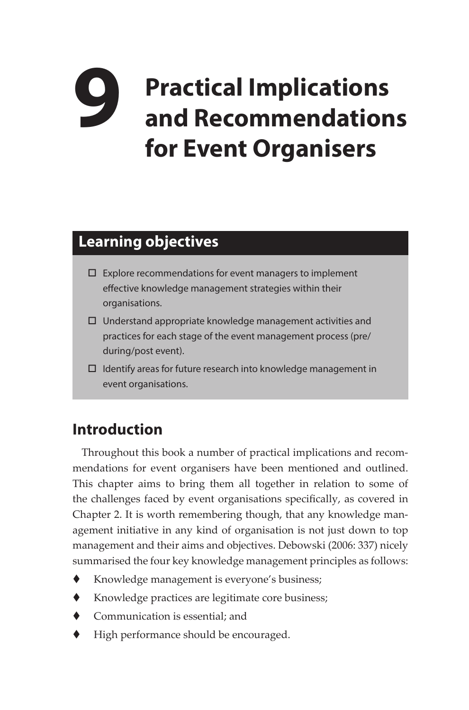# **9 Practical Implications and Recommendations for Event Organisers**

## **Learning objectives**

- $\square$  Explore recommendations for event managers to implement effective knowledge management strategies within their organisations.
- $\square$  Understand appropriate knowledge management activities and practices for each stage of the event management process (pre/ during/post event).
- Identify areas for future research into knowledge management in event organisations.

## **Introduction**

Throughout this book a number of practical implications and recommendations for event organisers have been mentioned and outlined. This chapter aims to bring them all together in relation to some of the challenges faced by event organisations specifically, as covered in Chapter 2. It is worth remembering though, that any knowledge management initiative in any kind of organisation is not just down to top management and their aims and objectives. Debowski (2006: 337) nicely summarised the four key knowledge management principles as follows:

- Knowledge management is everyone's business;
- Knowledge practices are legitimate core business;
- ◆ Communication is essential; and
- High performance should be encouraged.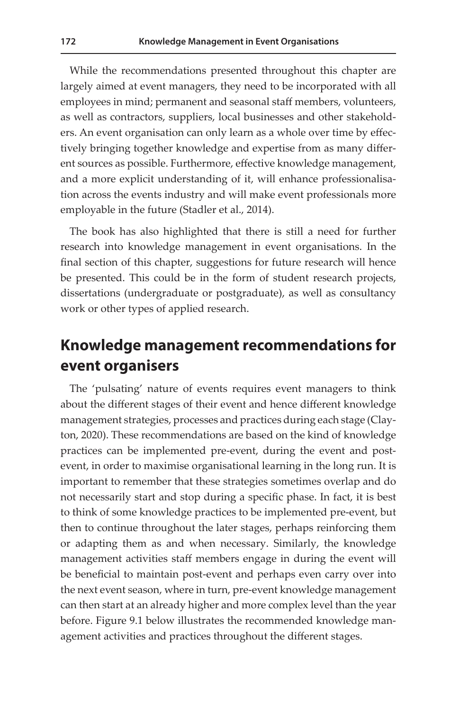While the recommendations presented throughout this chapter are largely aimed at event managers, they need to be incorporated with all employees in mind; permanent and seasonal staff members, volunteers, as well as contractors, suppliers, local businesses and other stakeholders. An event organisation can only learn as a whole over time by effectively bringing together knowledge and expertise from as many different sources as possible. Furthermore, effective knowledge management, and a more explicit understanding of it, will enhance professionalisation across the events industry and will make event professionals more employable in the future (Stadler et al., 2014).

The book has also highlighted that there is still a need for further research into knowledge management in event organisations. In the final section of this chapter, suggestions for future research will hence be presented. This could be in the form of student research projects, dissertations (undergraduate or postgraduate), as well as consultancy work or other types of applied research.

#### **Knowledge management recommendations for event organisers**

The 'pulsating' nature of events requires event managers to think about the different stages of their event and hence different knowledge management strategies, processes and practices during each stage (Clayton, 2020). These recommendations are based on the kind of knowledge practices can be implemented pre-event, during the event and postevent, in order to maximise organisational learning in the long run. It is important to remember that these strategies sometimes overlap and do not necessarily start and stop during a specific phase. In fact, it is best to think of some knowledge practices to be implemented pre-event, but then to continue throughout the later stages, perhaps reinforcing them or adapting them as and when necessary. Similarly, the knowledge management activities staff members engage in during the event will be beneficial to maintain post-event and perhaps even carry over into the next event season, where in turn, pre-event knowledge management can then start at an already higher and more complex level than the year before. Figure 9.1 below illustrates the recommended knowledge management activities and practices throughout the different stages.